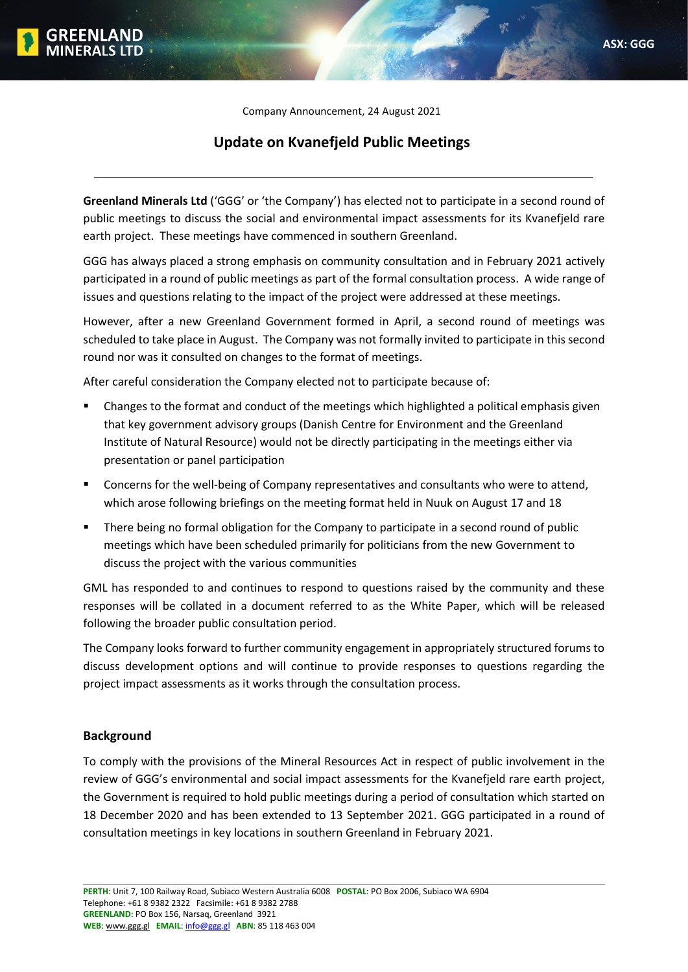Company Announcement, 24 August 2021

# **Update on Kvanefjeld Public Meetings**

**Greenland Minerals Ltd** ('GGG' or 'the Company') has elected not to participate in a second round of public meetings to discuss the social and environmental impact assessments for its Kvanefjeld rare earth project. These meetings have commenced in southern Greenland.

GGG has always placed a strong emphasis on community consultation and in February 2021 actively participated in a round of public meetings as part of the formal consultation process. A wide range of issues and questions relating to the impact of the project were addressed at these meetings.

However, after a new Greenland Government formed in April, a second round of meetings was scheduled to take place in August. The Company was not formally invited to participate in this second round nor was it consulted on changes to the format of meetings.

After careful consideration the Company elected not to participate because of:

- Changes to the format and conduct of the meetings which highlighted a political emphasis given that key government advisory groups (Danish Centre for Environment and the Greenland Institute of Natural Resource) would not be directly participating in the meetings either via presentation or panel participation
- **•** Concerns for the well-being of Company representatives and consultants who were to attend, which arose following briefings on the meeting format held in Nuuk on August 17 and 18
- **•** There being no formal obligation for the Company to participate in a second round of public meetings which have been scheduled primarily for politicians from the new Government to discuss the project with the various communities

GML has responded to and continues to respond to questions raised by the community and these responses will be collated in a document referred to as the White Paper, which will be released following the broader public consultation period.

The Company looks forward to further community engagement in appropriately structured forums to discuss development options and will continue to provide responses to questions regarding the project impact assessments as it works through the consultation process.

## **Background**

**: :**

To comply with the provisions of the Mineral Resources Act in respect of public involvement in the review of GGG's environmental and social impact assessments for the Kvanefjeld rare earth project, the Government is required to hold public meetings during a period of consultation which started on 18 December 2020 and has been extended to 13 September 2021. GGG participated in a round of consultation meetings in key locations in southern Greenland in February 2021.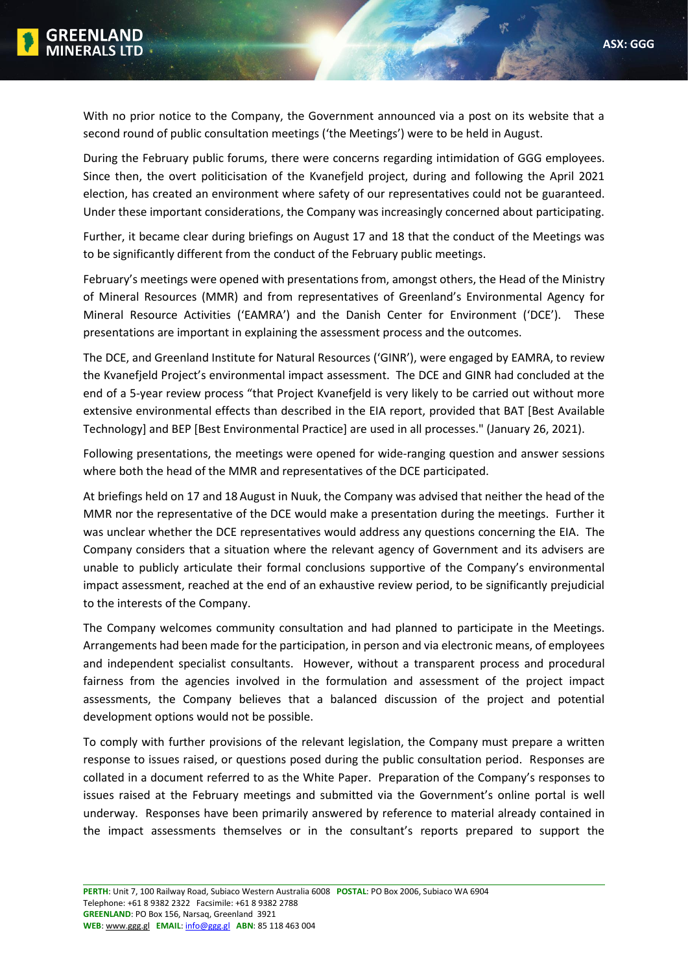

With no prior notice to the Company, the Government announced via a post on its website that a second round of public consultation meetings ('the Meetings') were to be held in August.

During the February public forums, there were concerns regarding intimidation of GGG employees. Since then, the overt politicisation of the Kvanefjeld project, during and following the April 2021 election, has created an environment where safety of our representatives could not be guaranteed. Under these important considerations, the Company was increasingly concerned about participating.

Further, it became clear during briefings on August 17 and 18 that the conduct of the Meetings was to be significantly different from the conduct of the February public meetings.

February's meetings were opened with presentations from, amongst others, the Head of the Ministry of Mineral Resources (MMR) and from representatives of Greenland's Environmental Agency for Mineral Resource Activities ('EAMRA') and the Danish Center for Environment ('DCE'). These presentations are important in explaining the assessment process and the outcomes.

The DCE, and Greenland Institute for Natural Resources ('GINR'), were engaged by EAMRA, to review the Kvanefjeld Project's environmental impact assessment. The DCE and GINR had concluded at the end of a 5-year review process "that Project Kvanefjeld is very likely to be carried out without more extensive environmental effects than described in the EIA report, provided that BAT [Best Available Technology] and BEP [Best Environmental Practice] are used in all processes." (January 26, 2021).

Following presentations, the meetings were opened for wide-ranging question and answer sessions where both the head of the MMR and representatives of the DCE participated.

At briefings held on 17 and 18 August in Nuuk, the Company was advised that neither the head of the MMR nor the representative of the DCE would make a presentation during the meetings. Further it was unclear whether the DCE representatives would address any questions concerning the EIA. The Company considers that a situation where the relevant agency of Government and its advisers are unable to publicly articulate their formal conclusions supportive of the Company's environmental impact assessment, reached at the end of an exhaustive review period, to be significantly prejudicial to the interests of the Company.

The Company welcomes community consultation and had planned to participate in the Meetings. Arrangements had been made for the participation, in person and via electronic means, of employees and independent specialist consultants. However, without a transparent process and procedural fairness from the agencies involved in the formulation and assessment of the project impact assessments, the Company believes that a balanced discussion of the project and potential development options would not be possible.

To comply with further provisions of the relevant legislation, the Company must prepare a written response to issues raised, or questions posed during the public consultation period. Responses are collated in a document referred to as the White Paper. Preparation of the Company's responses to issues raised at the February meetings and submitted via the Government's online portal is well underway. Responses have been primarily answered by reference to material already contained in the impact assessments themselves or in the consultant's reports prepared to support the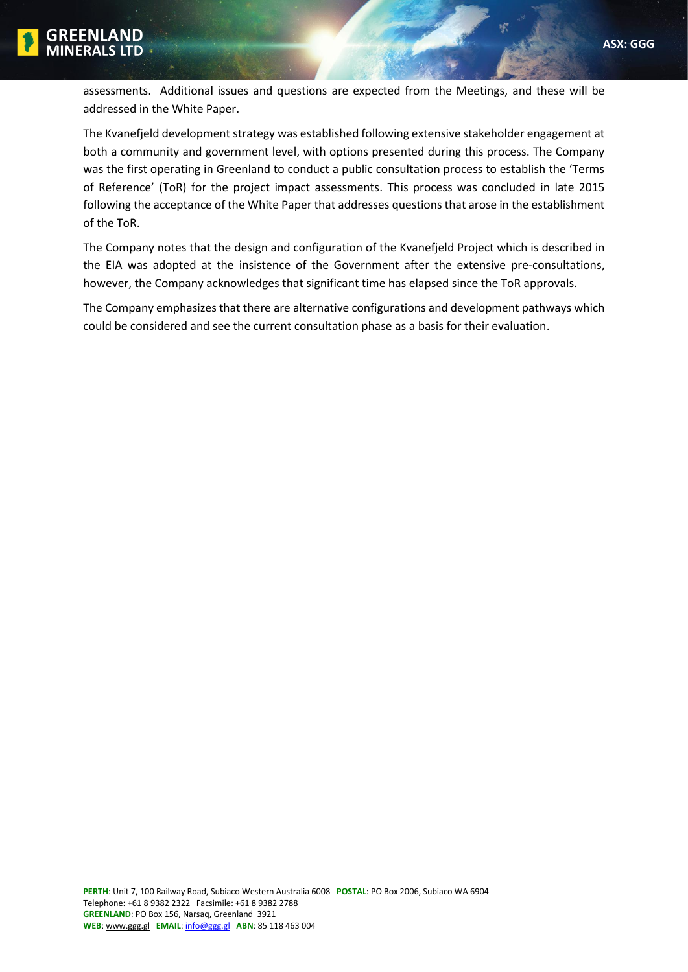

**GGG** assessments. Additional issues and questions are expected from the Meetings, and these will be addressed in the White Paper.

The Kvanefjeld development strategy was established following extensive stakeholder engagement at both a community and government level, with options presented during this process. The Company was the first operating in Greenland to conduct a public consultation process to establish the 'Terms of Reference' (ToR) for the project impact assessments. This process was concluded in late 2015 following the acceptance of the White Paper that addresses questions that arose in the establishment of the ToR.

The Company notes that the design and configuration of the Kvanefjeld Project which is described in the EIA was adopted at the insistence of the Government after the extensive pre‐consultations, however, the Company acknowledges that significant time has elapsed since the ToR approvals.

The Company emphasizes that there are alternative configurations and development pathways which could be considered and see the current consultation phase as a basis for their evaluation.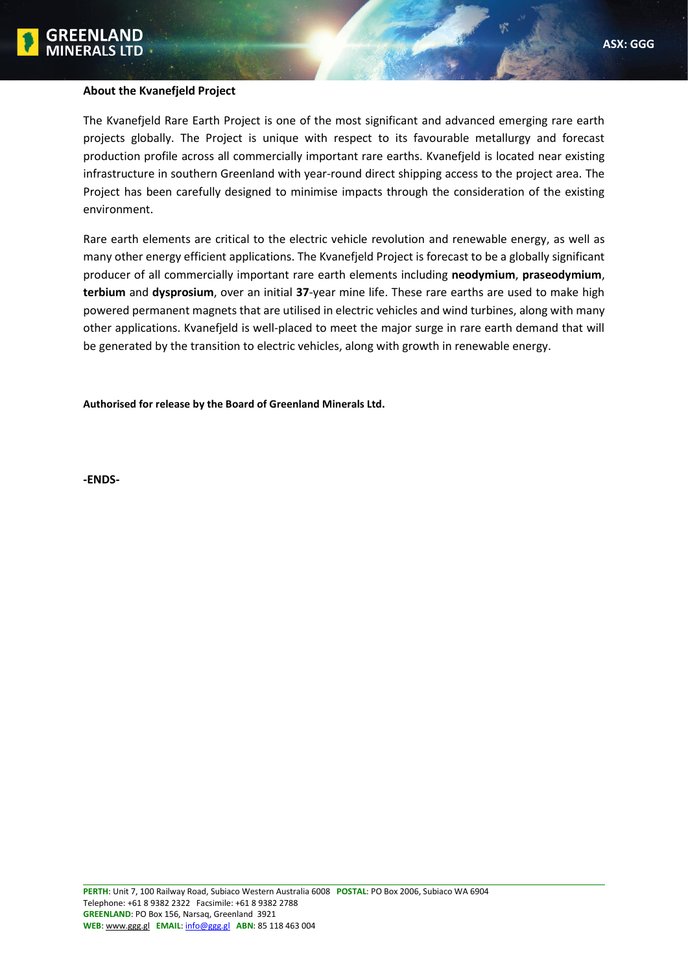

### **About the Kvanefjeld Project**

The Kvanefjeld Rare Earth Project is one of the most significant and advanced emerging rare earth projects globally. The Project is unique with respect to its favourable metallurgy and forecast production profile across all commercially important rare earths. Kvanefjeld is located near existing infrastructure in southern Greenland with year-round direct shipping access to the project area. The Project has been carefully designed to minimise impacts through the consideration of the existing environment.

Rare earth elements are critical to the electric vehicle revolution and renewable energy, as well as many other energy efficient applications. The Kvanefjeld Project is forecast to be a globally significant producer of all commercially important rare earth elements including **neodymium**, **praseodymium**, **terbium** and **dysprosium**, over an initial **37**-year mine life. These rare earths are used to make high powered permanent magnets that are utilised in electric vehicles and wind turbines, along with many other applications. Kvanefjeld is well-placed to meet the major surge in rare earth demand that will be generated by the transition to electric vehicles, along with growth in renewable energy.

**Authorised for release by the Board of Greenland Minerals Ltd.**

**-ENDS-**